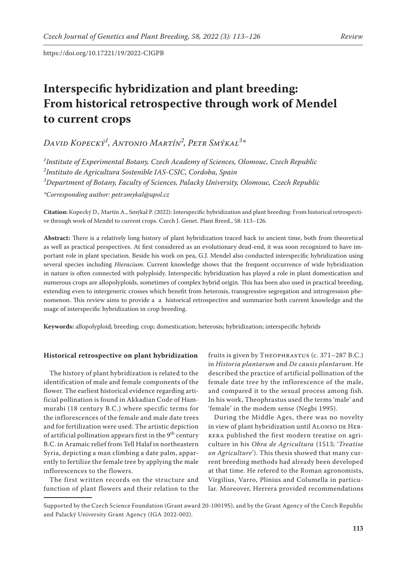# **Interspecific hybridization and plant breeding: From historical retrospective through work of Mendel to current crops**

*David Kopecký1 , Antonio Martín2 , Petr Smýkal3 \**

 *Institute of Experimental Botany, Czech Academy of Sciences, Olomouc, Czech Republic Instituto de Agricultura Sostenible IAS-CSIC, Cordoba, Spain Department of Botany, Faculty of Sciences, Palacky University, Olomouc, Czech Republic \*Corresponding author: petr.smykal@upol.cz*

**Citation:** Kopecký D., Martín A., Smýkal P. (2022): Interspecific hybridization and plant breeding: From historical retrospecti-

ve through work of Mendel to current crops. Czech J. Genet. Plant Breed., 58: 113–126.

**Abstract:** There is a relatively long history of plant hybridization traced back to ancient time, both from theoretical as well as practical perspectives. At first considered as an evolutionary dead-end, it was soon recognized to have important role in plant speciation. Beside his work on pea, G.J. Mendel also conducted interspecific hybridization using several species including *Hieracium*. Current knowledge shows that the frequent occurrence of wide hybridization in nature is often connected with polyploidy. Interspecific hybridization has played a role in plant domestication and numerous crops are allopolyploids, sometimes of complex hybrid origin. This has been also used in practical breeding, extending even to intergeneric crosses which benefit from heterosis, transgressive segregation and introgression phenomenon. This review aims to provide a a historical retrospective and summarize both current knowledge and the usage of interspecific hybridization in crop breeding.

**Keywords:** allopolyploid; breeding; crop; domestication; heterosis; hybridization; interspecific hybrids

# **Historical retrospective on plant hybridization**

The history of plant hybridization is related to the identification of male and female components of the flower. The earliest historical evidence regarding artificial pollination is found in Akkadian Code of Hammurabi (18 century B.C.) where specific terms for the inflorescences of the female and male date trees and for fertilization were used. The artistic depiction of artificial pollination appears first in the  $9^{\rm th}$  century B.C. in Aramaic relief from Tell Halaf in northeastern Syria, depicting a man climbing a date palm, apparently to fertilize the female tree by applying the male inflorescences to the flowers.

The first written records on the structure and function of plant flowers and their relation to the

fruits is given by Theophrastus (c. 371–287 B.C.) in *Historia plantarum* and *De causis plantarum*. He described the practice of artificial pollination of the female date tree by the inflorescence of the male, and compared it to the sexual process among fish. In his work, Theophrastus used the terms 'male' and 'female' in the modem sense (Negbi 1995).

During the Middle Ages, there was no novelty in view of plant hybridization until ALONSO DE HERrera published the first modern treatise on agriculture in his *Obra de Agricultura* (1513; '*Treatise on Agriculture*'). This thesis showed that many current breeding methods had already been developed at that time. He refered to the Roman agronomists, Virgilius, Varro, Plinius and Columella in particular. Moreover, Herrera provided recommendations

Supported by the Czech Science Foundation (Grant award 20-10019S), and by the Grant Agency of the Czech Republic and Palacký University Grant Agency (IGA 2022-002).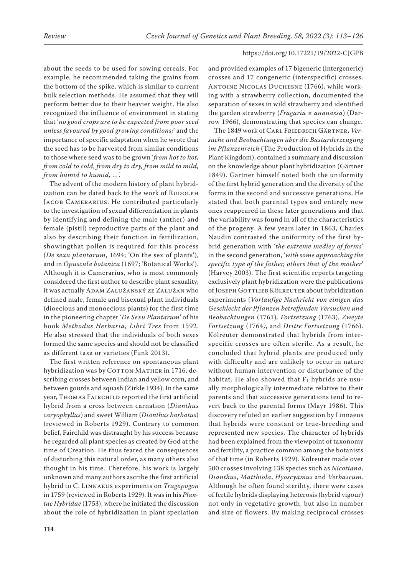about the seeds to be used for sowing cereals. For example, he recommended taking the grains from the bottom of the spike, which is similar to current bulk selection methods. He assumed that they will perform better due to their heavier weight. He also recognized the influence of environment in stating that '*no good crops are to be expected from poor seed unless favoured by good growing conditions;*' and the importance of specific adaptation when he wrote that the seed has to be harvested from similar conditions to those where seed was to be grown '*from hot to hot, from cold to cold, from dry to dry, from mild to mild, from humid to humid, …*'.

The advent of the modern history of plant hybridization can be dated back to the work of RUDOLPH JACOB CAMERARIUS. He contributed particularly to the investigation of sexual differentiation in plants by identifying and defining the male (anther) and female (pistil) reproductive parts of the plant and also by describing their function in fertilization, showingthat pollen is required for this process (*De sexu plantarum*, 1694; 'On the sex of plants'), and in *Opuscula botanica* (1697; 'Botanical Works'). Although it is Camerarius, who is most commonly considered the first author to describe plant sexuality, it was actually ADAM ZALUŽANSKÝ ZE ZALUŽAN who defined male, female and bisexual plant individuals (dioecious and monoecious plants) for the first time in the pioneering chapter '*De Sexu Plantarum*' of his book *Methodus Herbaria, Libri Tres* from 1592. He also stressed that the individuals of both sexes formed the same species and should not be classified as different taxa or varieties (Funk 2013).

The first written reference on spontaneous plant hybridization was by COTTON MATHER in 1716, describing crosses between Indian and yellow corn, and between gourds and squash (Zirkle 1934). In the same year, THOMAS FAIRCHILD reported the first artificial hybrid from a cross between carnation (*Dianthus caryophyllus*) and sweet William (*Dianthus barbatus*) (reviewed in Roberts 1929). Contrary to common belief, Fairchild was distraught by his success because he regarded all plant species as created by God at the time of Creation. He thus feared the consequences of disturbing this natural order, as many others also thought in his time. Therefore, his work is largely unknown and many authors ascribe the first artificial hybrid to C. Linnaeus experiments on *Tragopogon* in 1759 (reviewed in Roberts 1929). It was in his *Plantae Hybridae* (1753), where he initiated the discussion about the role of hybridization in plant speciation

and provided examples of 17 bigeneric (intergeneric) crosses and 17 congeneric (interspecific) crosses. Antoine Nicolas Duchesne (1766), while working with a strawberry collection, documented the separation of sexes in wild strawberry and identified the garden strawberry (*Fragaria × ananassa*) (Darrow 1966), demonstrating that species can change.

The 1849 work of Carl Friedrich Gärtner, *Versuche und Beobachtungen über die Bastarderzeugung im Pflanzenreich* (The Production of Hybrids in the Plant Kingdom), contained a summary and discussion on the knowledge about plant hybridization (Gärtner 1849). Gärtner himself noted both the uniformity of the first hybrid generation and the diversity of the forms in the second and successive generations. He stated that both parental types and entirely new ones reappeared in these later generations and that the variability was found in all of the characteristics of the progeny. A few years later in 1863, Charles Naudin contrasted the uniformity of the first hybrid generation with '*the extreme medley of forms*' in the second generation, '*with some approaching the specific type of the father, others that of the mother*' (Harvey 2003). The first scientific reports targeting exclusively plant hybridization were the publications of JOSEPH GOTTLIEB KÖLREUTER about hybridization experiments (*Vorlaufige Nachricht von einigen das Geschlecht der Pflanzen betreffenden Versuchen und Beobachtungen* (1761)*, Fortsetzung* (1763), *Zweyte Fortsetzung* (1764*)*, and *Dritte Fortsetzung* (1766). Kölreuter demonstrated that hybrids from interspecific crosses are often sterile. As a result, he concluded that hybrid plants are produced only with difficulty and are unlikely to occur in nature without human intervention or disturbance of the habitat. He also showed that  $F_1$  hybrids are usually morphologically intermediate relative to their parents and that successive generations tend to revert back to the parental forms (Mayr 1986). This discovery refuted an earlier suggestion by Linnaeus that hybrids were constant or true-breeding and represented new species. The character of hybrids had been explained from the viewpoint of taxonomy and fertility, a practice common among the botanists of that time (in Roberts 1929). Kölreuter made over 500 crosses involving 138 species such as *Nicotiana, Dianthus*, *Matthiola*, *Hyoscyamus* and *Verbascum*. Although he often found sterility, there were cases of fertile hybrids displaying heterosis (hybrid vigour) not only in vegetative growth, but also in number and size of flowers. By making reciprocal crosses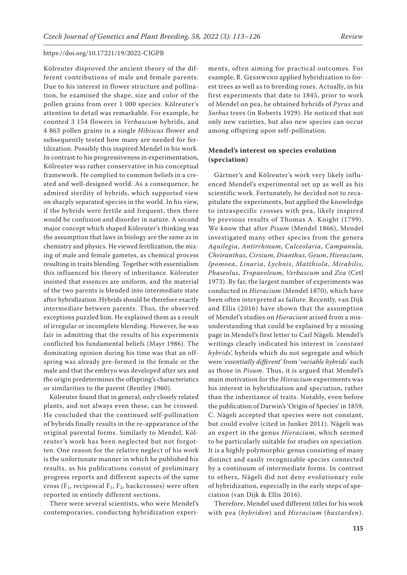Kölreuter disproved the ancient theory of the different contributions of male and female parents. Due to his interest in flower structure and pollination, he examined the shape, size and color of the pollen grains from over 1 000 species. Kölreuter's attention to detail was remarkable. For example, he counted 3 154 flowers in *Verbascum* hybrids, and 4 863 pollen grains in a single *Hibiscus* flower and subsequently tested how many are needed for fertilization. Possibly this inspired Mendel in his work. In contrast to his progressiveness in experimentation, Kölreuter was rather conservative in his conceptual framework. He complied to common beliefs in a created and well-designed world. As a consequence, he admired sterility of hybrids, which supported view on sharply separated species in the world. In his view, if the hybrids were fertile and frequent, then there would be confusion and disorder in nature. A second major concept which shaped Kölreuter's thinking was the assumption that laws in biology are the same as in chemistry and physics. He viewed fertilization, the mixing of male and female gametes, as chemical process resulting in traits blending. Together with essentialism this influenced his theory of inheritance. Kölreuter insisted that essences are uniform, and the material of the two parents is blended into intermediate state after hybridization. Hybrids should be therefore exactly intermediate between parents. Thus, the observed exceptions puzzled him. He explained them as a result of irregular or incomplete blending. However, he was fair in admitting that the results of his experiments conflicted his fundamental beliefs (Mayr 1986). The dominating opinion during his time was that an offspring was already pre-formed in the female or the male and that the embryo was developed after sex and the origin predetermines the offspring's characteristics or similarities to the parent (Bentley 1960).

Kölreuter found that in general, only closely related plants, and not always even these, can be crossed. He concluded that the continued self-pollination of hybrids finally results in the re-appearance of the original parental forms. Similarly to Mendel, Kölreuter's work has been neglected but not forgotten. One reason for the relative neglect of his work is the unfortunate manner in which he published his results, as his publications consist of preliminary progress reports and different aspects of the same cross ( $F_1$ , reciprocal  $F_1$ ,  $F_2$ , backcrosses) were often reported in entirely different sections.

There were several scientists, who were Mendel's contemporaries, conducting hybridization experi-

ments, often aiming for practical outcomes. For example, R. GESHWIND applied hybridization to forest trees as well as to breeding roses. Actually, in his first experiments that date to 1845, prior to work of Mendel on pea, he obtained hybrids of *Pyrus* and *Sorbus* trees (in Roberts 1929). He noticed that not only new varieties, but also new species can occur among offspring upon self-pollination.

# **Mendel's interest on species evolution (speciation)**

Gärtner's and Kölreuter's work very likely influenced Mendel's experimental set up as well as his scientific work. Fortunately, he decided not to recapitulate the experiments, but applied the knowledge to intraspecific crosses with pea, likely inspired by previous results of Thomas A. Knight (1799). We know that after *Pisum* (Mendel 1866), Mendel investigated many other species from the genera *Aquilegia*, *Antirrhinum*, *Calceolaria*, *Campanula*, *Cheiranthus*, *Cirsium*, *Dianthus*, *Geum*, *Hieracium*, *Ipomoea*, *Linaria*, *Lychnis*, *Matthiola*, *Mirabilis*, *Phaseolus*, *Tropaeoleum*, *Verbascum* and *Zea* (Cetl 1973). By far, the largest number of experiments was conducted in *Hieracium* (Mendel 1870), which have been often interpreted as failure. Recently, van Dijk and Ellis (2016) have shown that the assumption of Mendel's studies on *Hieracium* arised from a misunderstanding that could be explained by a missing page in Mendel's first letter to Carl Nägeli. Mendel's writings clearly indicated his interest in '*constant hybrids*', hybrids which do not segregate and which were '*essentially different*' from '*variable hybrids*' such as those in *Pisum*. Thus, it is argued that Mendel's main motivation for the *Hieracium* experiments was his interest in hybridization and speciation, rather than the inheritance of traits. Notably, even before the publication of Darwin's 'Origin of Species' in 1859, C. Nägeli accepted that species were not constant, but could evolve (cited in Junker 2011). Nägeli was an expert in the genus *Hieracium*, which seemed to be particularly suitable for studies on speciation. It is a highly polymorphic genus consisting of many distinct and easily recognizable species connected by a continuum of intermediate forms. In contrast to others, Nägeli did not deny evolutionary role of hybridization, especially in the early steps of speciation (van Dijk & Ellis 2016).

Therefore, Mendel used different titles for his work with pea (*hybriden*) and *Hieracium* (*bastarden*).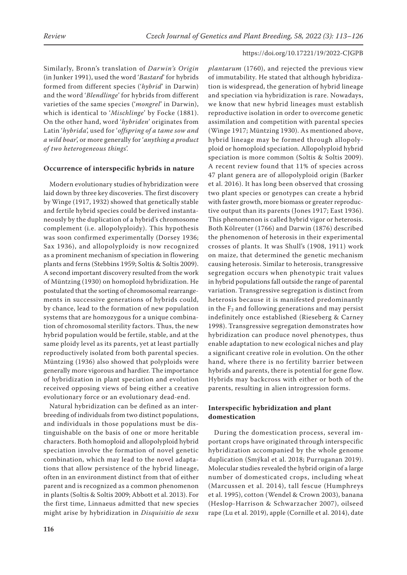Similarly, Bronn's translation of *Darwin's Origin*  (in Junker 1991), used the word '*Bastard*' for hybrids formed from different species ('*hybrid*' in Darwin) and the word '*Blendlinge*' for hybrids from different varieties of the same species ('*mongrel*' in Darwin), which is identical to '*Mischlinge*' by Focke (1881). On the other hand, word '*hybriden*' originates from Latin '*hybrida*', used for '*offspring of a tame sow and a wild boar*', or more generally for '*anything a product of two heterogeneous things*'.

## **Occurrence of interspecific hybrids in nature**

Modern evolutionary studies of hybridization were laid down by three key discoveries. The first discovery by Winge (1917, 1932) showed that genetically stable and fertile hybrid species could be derived instantaneously by the duplication of a hybrid's chromosome complement (i.e. allopolyploidy). This hypothesis was soon confirmed experimentally (Dorsey 1936; Sax 1936), and allopolyploidy is now recognized as a prominent mechanism of speciation in flowering plants and ferns (Stebbins 1959; Soltis & Soltis 2009). A second important discovery resulted from the work of Müntzing (1930) on homoploid hybridization. He postulated that the sorting of chromosomal rearrangements in successive generations of hybrids could, by chance, lead to the formation of new population systems that are homozygous for a unique combination of chromosomal sterility factors. Thus, the new hybrid population would be fertile, stable, and at the same ploidy level as its parents, yet at least partially reproductively isolated from both parental species. Müntzing (1936) also showed that polyploids were generally more vigorous and hardier. The importance of hybridization in plant speciation and evolution received opposing views of being either a creative evolutionary force or an evolutionary dead-end.

Natural hybridization can be defined as an interbreeding of individuals from two distinct populations, and individuals in those populations must be distinguishable on the basis of one or more heritable characters. Both homoploid and allopolyploid hybrid speciation involve the formation of novel genetic combination, which may lead to the novel adaptations that allow persistence of the hybrid lineage, often in an environment distinct from that of either parent and is recognized as a common phenomenon in plants (Soltis & Soltis 2009; Abbott et al. 2013). For the first time, Linnaeus admitted that new species might arise by hybridization in *Disquisitio de sexu*  *plantarum* (1760), and rejected the previous view of immutability. He stated that although hybridization is widespread, the generation of hybrid lineage and speciation via hybridization is rare. Nowadays, we know that new hybrid lineages must establish reproductive isolation in order to overcome genetic assimilation and competition with parental species (Winge 1917; Müntzing 1930). As mentioned above, hybrid lineage may be formed through allopolyploid or homoploid speciation. Allopolyploid hybrid speciation is more common (Soltis & Soltis 2009). A recent review found that 11% of species across 47 plant genera are of allopolyploid origin (Barker et al. 2016). It has long been observed that crossing two plant species or genotypes can create a hybrid with faster growth, more biomass or greater reproductive output than its parents (Jones 1917; East 1936). This phenomenon is called hybrid vigor or heterosis. Both Kölreuter (1766) and Darwin (1876) described the phenomenon of heterosis in their experimental crosses of plants. It was Shull's (1908, 1911) work on maize, that determined the genetic mechanism causing heterosis. Similar to heterosis, transgressive segregation occurs when phenotypic trait values in hybrid populations fall outside the range of parental variation. Transgressive segregation is distinct from heterosis because it is manifested predominantly in the  $F_2$  and following generations and may persist indefinitely once established (Rieseberg & Carney 1998). Transgressive segregation demonstrates how hybridization can produce novel phenotypes, thus enable adaptation to new ecological niches and play a significant creative role in evolution. On the other hand, where there is no fertility barrier between hybrids and parents, there is potential for gene flow. Hybrids may backcross with either or both of the parents, resulting in alien introgression forms.

# **Interspecific hybridization and plant domestication**

During the domestication process, several important crops have originated through interspecific hybridization accompanied by the whole genome duplication (Smýkal et al. 2018; Purruganan 2019). Molecular studies revealed the hybrid origin of a large number of domesticated crops, including wheat (Marcussen et al. 2014), tall fescue (Humphreys et al. 1995), cotton (Wendel & Crown 2003), banana (Heslop-Harrison & Schwarzacher 2007), oilseed rape (Lu et al. 2019), apple (Cornille et al. 2014), date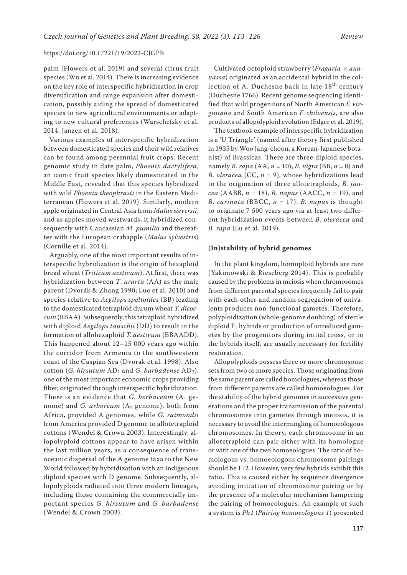palm (Flowers et al. 2019) and several citrus fruit species (Wu et al. 2014). There is increasing evidence on the key role of interspecific hybridization in crop diversification and range expansion after domestication, possibly aiding the spread of domesticated species to new agricultural environments or adapting to new cultural preferences (Warschefsky et al. 2014; Janzen et al. 2018).

Various examples of interspecific hybridization between domesticated species and their wild relatives can be found among perennial fruit crops. Recent genomic study in date palm, *Phoenix dactylifera*, an iconic fruit species likely domesticated in the Middle East, revealed that this species hybridized with wild *Phoenix theophrasti* in the Eastern Mediterranean (Flowers et al. 2019). Similarly, modern apple originated in Central Asia from *Malus sieversii*, and as apples moved westwards, it hybridized consequently with Caucassian *M. pumilio* and thereafter with the European crabapple (*Malus sylvestris*) (Cornille et al. 2014).

Arguably, one of the most important results of interspecific hybridization is the origin of hexaploid bread wheat (*Triticum aestivum*). At first, there was hybridization between *T*. *urartu* (AA) as the male parent (Dvorák & Zhang 1990; Luo et al. 2010) and species relative to *Aegilops speltoides* (BB) leading to the domesticated tetraploid durum wheat *T. dicoccum* (BBAA). Subsequently, this tetraploid hybridized with diploid *Aegilops tauschii* (DD) to result in the formation of allohexaploid *T. aestivum* (BBAADD). This happened about 12–15 000 years ago within the corridor from Armenia to the southwestern coast of the Caspian Sea (Dvorak et al. 1998). Also cotton (*G. hirsutum* AD1 and *G. barbadense* AD2), one of the most important economic crops providing fiber, originated through interspecific hybridization. There is an evidence that *G. herbaceum* (A<sub>1</sub> genome) and *G. arboreum* (A<sub>2</sub> genome), both from Africa, provided A genomes, while *G. raimondii* from America provided D genome to allotetraploid cottons (Wendel & Crown 2003). Interestingly, allopolyploid cottons appear to have arisen within the last million years, as a consequence of transoceanic dispersal of the A genome taxa to the New World followed by hybridization with an indigenous diploid species with D genome. Subsequently, allopolyploids radiated into three modern lineages, including those containing the commercially important species *G. hirsutum* and *G. barbadense* (Wendel & Crown 2003).

Cultivated octoploid strawberry (*Fragaria × ananassa*) originated as an accidental hybrid in the collection of A. Duchesne back in late 18<sup>th</sup> century (Duchesne 1766). Recent genome sequencing identified that wild progenitors of North American *F. virginiana* and South American *F. chiloensis*, are also products of allopolyploid evolution (Edger et al. 2019).

The textbook example of interspecific hybridization is a 'U Triangle' (named after theory first published in 1935 by Woo Jang-choon, a Korean-Japanese botanist) of Brassicas. There are three diploid species, namely *B. rapa* (AA, *n* = 10), *B. nigra* (BB, *n* = 8) and *B. oleracea* (CC, *n* = 9), whose hybridizations lead to the origination of three allotetraploids, *B. juncea* (AABB, *n* = 18), *B. napus* (AACC, *n* = 19), and *B. carinata* (BBCC, *n* = 17). *B. napus* is thought to originate 7 500 years ago via at least two different hybridization events between *B. oleracea* and *B. rapa* (Lu et al. 2019).

## **(In)stability of hybrid genomes**

In the plant kingdom, homoploid hybrids are rare (Yakimowski & Rieseberg 2014). This is probably caused by the problems in meiosis when chromosomes from different parental species frequently fail to pair with each other and random segregation of univalents produces non-functional gametes. Therefore, polyploidization (whole-genome doubling) of sterile diploid  $F_1$  hybrids or production of unreduced gametes by the progenitors during initial cross, or in the hybrids itself, are usually necessary for fertility restoration.

Allopolyploids possess three or more chromosome sets from two or more species. Those originating from the same parent are called homologues, whereas those from different parents are called homoeologues. For the stability of the hybrid genomes in successive generations and the proper transmission of the parental chromosomes into gametes through meiosis, it is necessary to avoid the intermingling of homoeologous chromosomes. In theory, each chromosome in an allotetraploid can pair either with its homologue or with one of the two homoeologues. The ratio of homologous vs. homoeologous chromosome pairings should be 1 : 2. However, very few hybrids exhibit this ratio. This is caused either by sequence divergence avoiding initiation of chromosome pairing or by the presence of a molecular mechanism hampering the pairing of homoeologues. An example of such a system is *Ph1* (*Pairing homoeologous 1*) presented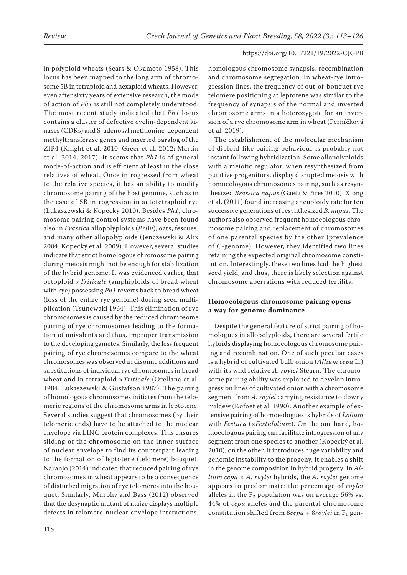in polyploid wheats (Sears & Okamoto 1958). This locus has been mapped to the long arm of chromosome 5B in tetraploid and hexaploid wheats. However, even after sixty years of extensive research, the mode of action of *Ph1* is still not completely understood. The most recent study indicated that *Ph1* locus contains a cluster of defective cyclin-dependent kinases (CDKs) and S-adenosyl methionine-dependent methyltransferase genes and inserted paralog of the ZIP4 (Knight et al. 2010; Greer et al. 2012; Martin et al. 2014, 2017). It seems that *Ph1* is of general mode-of-action and is efficient at least in the close relatives of wheat. Once introgressed from wheat to the relative species, it has an ability to modify chromosome pairing of the host genome, such as in the case of 5B introgression in autotetraploid rye (Lukaszewski & Kopecky 2010). Besides *Ph1*, chromosome pairing control systems have been found also in *Brassica* allopolyploids (*PrBn*), oats, fescues, and many other allopolyploids (Jenczewski & Alix 2004; Kopecký et al. 2009). However, several studies indicate that strict homologous chromosome pairing during meiosis might not be enough for stabilization of the hybrid genome. It was evidenced earlier, that octoploid ×*Triticale* (amphiploids of bread wheat with rye) possessing *Ph1* reverts back to bread wheat (loss of the entire rye genome) during seed multiplication (Tsunewaki 1964). This elimination of rye chromosomes is caused by the reduced chromosome pairing of rye chromosomes leading to the formation of univalents and thus, improper transmission to the developing gametes. Similarly, the less frequent pairing of rye chromosomes compare to the wheat chromosomes was observed in disomic additions and substitutions of individual rye chromosomes in bread wheat and in tetraploid ×*Triticale* (Orellana et al. 1984; Lukaszewski & Gustafson 1987). The pairing of homologous chromosomes initiates from the telomeric regions of the chromosome arms in leptotene. Several studies suggest that chromosomes (by their telomeric ends) have to be attached to the nuclear envelope via LINC protein complexes. This ensures sliding of the chromosome on the inner surface of nuclear envelope to find its counterpart leading to the formation of leptotene (telomere) bouquet. Naranjo (2014) indicated that reduced pairing of rye chromosomes in wheat appears to be a consequence of disturbed migration of rye telomeres into the bouquet. Similarly, Murphy and Bass (2012) observed that the desynaptic mutant of maize displays multiple defects in telomere-nuclear envelope interactions,

homologous chromosome synapsis, recombination and chromosome segregation. In wheat-rye introgression lines, the frequency of out-of-bouquet rye telomere positioning at leptotene was similar to the frequency of synapsis of the normal and inverted chromosome arms in a heterozygote for an inversion of a rye chromosome arm in wheat (Perníčková et al. 2019).

The establishment of the molecular mechanism of diploid-like pairing behaviour is probably not instant following hybridization. Some allopolyploids with a meiotic regulator, when resynthesized from putative progenitors, display disrupted meiosis with homoeologous chromosomes pairing, such as resynthesized *Brassica napus* (Gaeta & Pires 2010). Xiong et al. (2011) found increasing aneuploidy rate for ten successive generations of resynthesized *B. napus*. The authors also observed frequent homoeologous chromosome pairing and replacement of chromosomes of one parental species by the other (prevalence of C-genome). However, they identified two lines retaining the expected original chromosome constitution. Interestingly, these two lines had the highest seed yield, and thus, there is likely selection against chromosome aberrations with reduced fertility.

# **Homoeologous chromosome pairing opens a way for genome dominance**

Despite the general feature of strict pairing of homologues in allopolyploids, there are several fertile hybrids displaying homoeologous chromosome pairing and recombination. One of such peculiar cases is a hybrid of cultivated bulb onion (*Allium cepa* L.) with its wild relative *A. roylei* Stearn. The chromosome pairing ability was exploited to develop introgression lines of cultivated onion with a chromosome segment from *A. roylei* carrying resistance to downy mildew (Kofoet et al. 1990). Another example of extensive pairing of homoeologues is hybrids of *Lolium* with *Festuca* (×*Festulolium*). On the one hand, homoeologous pairing can facilitate introgression of any segment from one species to another (Kopecký et al. 2010); on the other, it introduces huge variability and genomic instability to the progeny. It enables a shift in the genome composition in hybrid progeny. In *Allium cepa* × *A. roylei* hybrids, the *A. roylei* genome appears to predominate: the percentage of *roylei* alleles in the  $F_2$  population was on average 56% vs. 44% of *cepa* alleles and the parental chromosome constitution shifted from  $8cepa + 8roylei$  in  $F_1$  gen-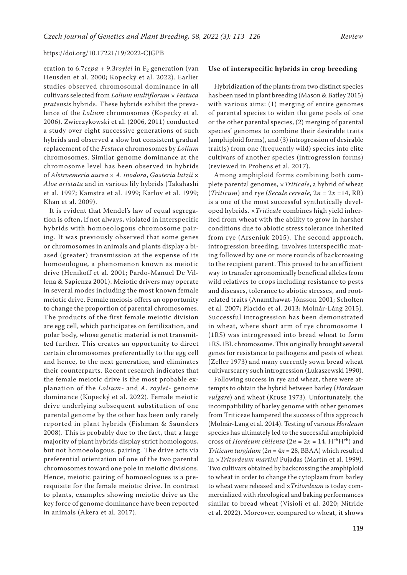eration to  $6.7$ *cepa* + 9.3*roylei* in  $F_2$  generation (van Heusden et al. 2000; Kopecký et al. 2022). Earlier studies observed chromosomal dominance in all cultivars selected from *Lolium multiflorum × Festuca pratensis* hybrids. These hybrids exhibit the prevalence of the *Lolium* chromosomes (Kopecky et al. 2006). Zwierzykowski et al. (2006, 2011) conducted a study over eight successive generations of such hybrids and observed a slow but consistent gradual replacement of the *Festuca* chromosomes by *Lolium*  chromosomes. Similar genome dominance at the chromosome level has been observed in hybrids of *Alstroemeria aurea × A. inodora*, *Gasteria lutzii × Aloe aristata* and in various lily hybrids (Takahashi et al. 1997; Kamstra et al. 1999; Karlov et al. 1999; Khan et al. 2009).

It is evident that Mendel's law of equal segregation is often, if not always, violated in interspecific hybrids with homoeologous chromosome pairing. It was previously observed that some genes or chromosomes in animals and plants display a biased (greater) transmission at the expense of its homoeologue, a phenomenon known as meiotic drive (Henikoff et al. 2001; Pardo-Manuel De Villena & Sapienza 2001). Meiotic drivers may operate in several modes including the most known female meiotic drive. Female meiosis offers an opportunity to change the proportion of parental chromosomes. The products of the first female meiotic division are egg cell, which participates on fertilization, and polar body, whose genetic material is not transmitted further. This creates an opportunity to direct certain chromosomes preferentially to the egg cell and hence, to the next generation, and eliminates their counterparts. Recent research indicates that the female meiotic drive is the most probable explanation of the *Lolium*- and *A. roylei*- genome dominance (Kopecký et al. 2022). Female meiotic drive underlying subsequent substitution of one parental genome by the other has been only rarely reported in plant hybrids (Fishman & Saunders 2008). This is probably due to the fact, that a large majority of plant hybrids display strict homologous, but not homoeologous, pairing. The drive acts via preferential orientation of one of the two parental chromosomes toward one pole in meiotic divisions. Hence, meiotic pairing of homoeologues is a prerequisite for the female meiotic drive. In contrast to plants, examples showing meiotic drive as the key force of genome dominance have been reported in animals (Akera et al. 2017).

#### **Use of interspecific hybrids in crop breeding**

Hybridization of the plants from two distinct species has been used in plant breeding (Mason & Batley 2015) with various aims: (1) merging of entire genomes of parental species to widen the gene pools of one or the other parental species, (2) merging of parental species' genomes to combine their desirable traits (amphiploid forms), and (3) introgression of desirable trait(s) from one (frequently wild) species into elite cultivars of another species (introgression forms) (reviewed in Prohens et al. 2017).

Among amphiploid forms combining both complete parental genomes, ×*Triticale*, a hybrid of wheat (*Triticum*) and rye (*Secale cereale*,  $2n = 2x = 14$ , RR) is a one of the most successful synthetically developed hybrids. ×*Triticale* combines high yield inherited from wheat with the ability to grow in harsher conditions due to abiotic stress tolerance inherited from rye (Arseniuk 2015). The second approach, introgression breeding, involves interspecific mating followed by one or more rounds of backcrossing to the recipient parent. This proved to be an efficient way to transfer agronomically beneficial alleles from wild relatives to crops including resistance to pests and diseases, tolerance to abiotic stresses, and rootrelated traits (Anamthawat-Jónsson 2001; Scholten et al. 2007; Placido et al. 2013; Molnár-Láng 2015). Successful introgression has been demonstrated in wheat, where short arm of rye chromosome 1 (1RS) was introgressed into bread wheat to form 1RS.1BL chromosome. This originally brought several genes for resistance to pathogens and pests of wheat (Zeller 1973) and many currently sown bread wheat cultivarscarry such introgression (Lukaszewski 1990).

Following success in rye and wheat, there were attempts to obtain the hybrid between barley (*Hordeum vulgare*) and wheat (Kruse 1973). Unfortunately, the incompatibility of barley genome with other genomes from Triticeae hampered the success of this approach (Molnár-Lang et al. 2014). Testing of various *Hordeum* species has ultimately led to the successful amphiploid cross of *Hordeum chilense* ( $2n = 2x = 14$ , H<sup>ch</sup>H<sup>ch</sup>) and *Triticum turgidum* (2*n* = 4*x* = 28, BBAA) which resulted in ×*Tritordeum martini* Pujadas (Martín et al. 1999). Two cultivars obtained by backcrossing the amphiploid to wheat in order to change the cytoplasm from barley to wheat were released and ×*Tritordeum* is today commercialized with rheological and baking performances similar to bread wheat (Visioli et al. 2020; Nitride et al. 2022). Moreover, compared to wheat, it shows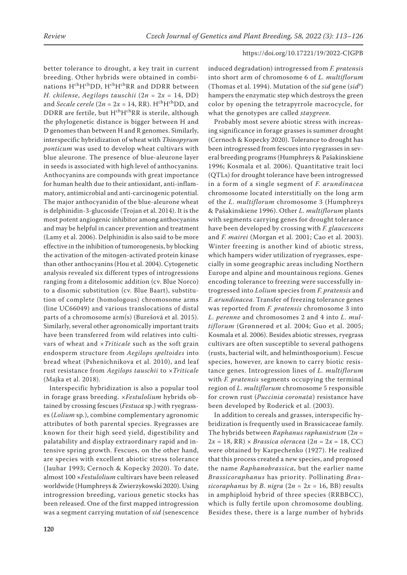better tolerance to drought, a key trait in current breeding. Other hybrids were obtained in combinations HchHchDD, HchHchRR and DDRR between *H. chilense*, *Aegilops tauschii* (2*n* = 2*x* = 14, DD) and *Secale cerele* ( $2n = 2x = 14$ , RR). H<sup>ch</sup>H<sup>ch</sup>DD, and DDRR are fertile, but H<sup>ch</sup>H<sup>ch</sup>RR is sterile, although the phylogenetic distance is bigger between H and D genomes than between H and R genomes. Similarly, interspecific hybridization of wheat with *Thinopyrum ponticum* was used to develop wheat cultivars with blue aleurone. The presence of blue-aleurone layer in seeds is associated with high level of anthocyanins. Anthocyanins are compounds with great importance for human health due to their antioxidant, anti-inflammatory, antimicrobial and anti-carcinogenic potential. The major anthocyanidin of the blue-aleurone wheat is delphinidin-3-glucoside (Trojan et al. 2014). It is the most potent angiogenic inhibitor among anthocyanins and may be helpful in cancer prevention and treatment (Lamy et al. 2006). Delphinidin is also said to be more effective in the inhibition of tumorogenesis, by blocking the activation of the mitogen-activated protein kinase than other anthocyanins (Hou et al. 2004). Cytogenetic analysis revealed six different types of introgressions ranging from a ditelosomic addition (cv. Blue Norco) to a disomic substitution (cv. Blue Baart), substitution of complete (homologous) chromosome arms (line UC66049) and various translocations of distal parts of a chromosome arm(s) (Burešová et al. 2015). Similarly, several other agronomically important traits have been transferred from wild relatives into cultivars of wheat and ×*Triticale* such as the soft grain endosperm structure from *Aegilops speltoides* into bread wheat (Pshenichnikova et al. 2010), and leaf rust resistance from *Aegilops tauschii* to ×*Triticale*  (Majka et al. 2018).

Interspecific hybridization is also a popular tool in forage grass breeding. ×*Festulolium* hybrids obtained by crossing fescues (*Festuca* sp.) with ryegrasses (*Lolium* sp*.*), combine complementary agronomic attributes of both parental species. Ryegrasses are known for their high seed yield, digestibility and palatability and display extraordinary rapid and intensive spring growth. Fescues, on the other hand, are species with excellent abiotic stress tolerance (Jauhar 1993; Cernoch & Kopecky 2020). To date, almost 100 ×*Festulolium* cultivars have been released worldwide (Humphreys & Zwierzykowski 2020). Using introgression breeding, various genetic stocks has been released. One of the first mapped introgression was a segment carrying mutation of *sid* (senescence

induced degradation) introgressed from *F. pratensis* into short arm of chromosome 6 of *L. multiflorum* (Thomas et al. 1994). Mutation of the *sid* gene (*sid<sup>y</sup>* ) hampers the enzymatic step which destroys the green color by opening the tetrapyrrole macrocycle, for what the genotypes are called *staygreen*.

Probably most severe abiotic stress with increasing significance in forage grasses is summer drought (Cernoch & Kopecky 2020). Tolerance to drought has been introgressed from fescues into ryegrasses in several breeding programs (Humphreys & Pašakinskiene 1996; Kosmala et al. 2006). Quantitative trait loci (QTLs) for drought tolerance have been introgressed in a form of a single segment of *F. arundinacea* chromosome located interstitially on the long arm of the *L. multiflorum* chromosome 3 (Humphreys & Pašakinskiene 1996). Other *L. multiflorum* plants with segments carrying genes for drought tolerance have been developed by crossing with *F. glaucescens* and *F. mairei* (Morgan et al. 2001; Cao et al. 2003). Winter freezing is another kind of abiotic stress, which hampers wider utilization of ryegrasses, especially in some geographic areas including Northern Europe and alpine and mountainous regions. Genes encoding tolerance to freezing were successfully introgressed into *Lolium* species from *F. pratensis* and *F. arundinacea*. Transfer of freezing tolerance genes was reported from *F. pratensis* chromosome 3 into *L. perenne* and chromosomes 2 and 4 into *L. multiflorum* (Grønnerød et al. 2004; Guo et al. 2005; Kosmala et al. 2006). Besides abiotic stresses, ryegrass cultivars are often susceptible to several pathogens (rusts, bacterial wilt, and helminthosporium). Fescue species, however, are known to carry biotic resistance genes. Introgression lines of *L. multiflorum* with *F. pratensis* segments occupying the terminal region of *L. multiflorum* chromosome 5 responsible for crown rust (*Puccinia coronata*) resistance have been developed by Roderick et al. (2003).

In addition to cereals and grasses, interspecific hybridization is frequently used in Brassicaceae family. The hybrids between *Raphanus raphanistrum* (2*n* =  $2x = 18$ , RR)  $\times$  *Brassica oleracea* ( $2n = 2x = 18$ , CC) were obtained by Karpechenko (1927). He realized that this process created a new species, and proposed the name *Raphanobrassica*, but the earlier name *Brassicoraphanus* has priority. Pollinating *Brassicoraphanus* by *B. nigra*  $(2n = 2x = 16, BB)$  results in amphiploid hybrid of three species (RRBBCC), which is fully fertile upon chromosome doubling. Besides these, there is a large number of hybrids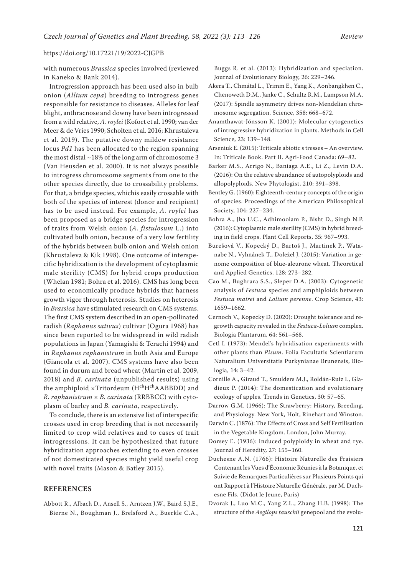with numerous *Brassica* species involved (reviewed in Kaneko & Bank 2014).

Introgression approach has been used also in bulb onion (*Allium cepa*) breeding to introgress genes responsible for resistance to diseases. Alleles for leaf blight, anthracnose and downy have been introgressed from a wild relative, *A. roylei* (Kofoet et al. 1990; van der Meer & de Vries 1990; Scholten et al. 2016; Khrustaleva et al. 2019). The putative downy mildew resistance locus *Pd1* has been allocated to the region spanning the most distal ~18% of the long arm of chromosome 3 (Van Heusden et al. 2000). It is not always possible to introgress chromosome segments from one to the other species directly, due to crossability problems. For that, a bridge species, whichis easily crossable with both of the species of interest (donor and recipient) has to be used instead. For example, *A. roylei* has been proposed as a bridge species for introgression of traits from Welsh onion (*A. fistulosum* L.) into cultivated bulb onion, because of a very low fertility of the hybrids between bulb onion and Welsh onion (Khrustaleva & Kik 1998). One outcome of interspecific hybridization is the development of cytoplasmic male sterility (CMS) for hybrid crops production (Whelan 1981; Bohra et al. 2016). CMS has long been used to economically produce hybrids that harness growth vigor through heterosis. Studies on heterosis in *Brassica* have stimulated research on CMS systems. The first CMS system described in an open-pollinated radish (*Raphanus sativus*) cultivar (Ogura 1968) has since been reported to be widespread in wild radish populations in Japan (Yamagishi & Terachi 1994) and in *Raphanus raphanistrum* in both Asia and Europe (Giancola et al. 2007). CMS systems have also been found in durum and bread wheat (Martín et al. 2009, 2018) and *B. carinata* (unpublished results) using the amphiploid ×Tritordeum (HchHchAABBDD) and *R. raphanistrum* × *B. carinata* (RRBBCC) with cytoplasm of barley and *B. carinata*, respectively.

To conclude, there is an extensive list of interspecific crosses used in crop breeding that is not necessarily limited to crop wild relatives and to cases of trait introgressions. It can be hypothesized that future hybridization approaches extending to even crosses of not domesticated species might yield useful crop with novel traits (Mason & Batley 2015).

# **REFERENCES**

Abbott R., Albach D., Ansell S., Arntzen J.W., Baird S.J.E., Bierne N., Boughman J., Brelsford A., Buerkle C.A.,

Buggs R. et al. (2013): Hybridization and speciation. Journal of Evolutionary Biology, 26: 229–246.

- Akera T., Chmátal L., Trimm E., Yang K., Aonbangkhen C., Chenoweth D.M., Janke C., Schultz R.M., Lampson M.A. (2017): Spindle asymmetry drives non-Mendelian chromosome segregation. Science, 358: 668–672.
- Anamthawat-Jónsson K. (2001): Molecular cytogenetics of introgressive hybridization in plants. Methods in Cell Science, 23: 139–148.
- Arseniuk E. (2015): Triticale abiotic s tresses An overview. In: Triticale Book. Part II. Agri-Food Canada: 69–82.
- Barker M.S., Arrigo N., Baniaga A.E., Li Z., Levin D.A. (2016): On the relative abundance of autopolyploids and allopolyploids. New Phytologist, 210: 391–398.
- Bentley G. (1960): Eighteenth-century concepts of the origin of species. Proceedings of the American Philosophical Society, 104: 227–234.
- Bohra A., Jha U.C., Adhimoolam P., Bisht D., Singh N.P. (2016): Cytoplasmic male sterility (CMS) in hybrid breeding in field crops. Plant Cell Reports, 35: 967–993.
- Burešová V., Kopecký D., Bartoš J., Martinek P., Watanabe N., Vyhnánek T., Doležel J. (2015): Variation in genome composition of blue-aleurone wheat. Theoretical and Applied Genetics, 128: 273–282.
- Cao M., Bughrara S.S., Sleper D.A. (2003): Cytogenetic analysis of *Festuca* species and amphiploids between *Festuca mairei* and *Lolium perenne*. Crop Science, 43: 1659–1662.
- Cernoch V., Kopecky D. (2020): Drought tolerance and regrowth capacity revealed in the *Festuca-Lolium* complex. Biologia Plantarum, 64: 561–568.
- Cetl I. (1973): Mendel's hybridisation experiments with other plants than *Pisum*. Folia Facultatis Scientiarum Naturalium Universitatis Purkynianae Brunensis, Biologia, 14: 3–42.
- Cornille A., Giraud T., Smulders M.J., Roldán-Ruiz I., Gladieux P. (2014): The domestication and evolutionary ecology of apples. Trends in Genetics, 30: 57–65.
- Darrow G.M. (1966): The Strawberry: History, Breeding, and Physiology. New York, Holt, Rinehart and Winston.
- Darwin C. (1876): The Effects of Cross and Self Fertilisation in the Vegetable Kingdom. London, John Murray.
- Dorsey E. (1936): Induced polyploidy in wheat and rye. Journal of Heredity, 27: 155–160.
- Duchesne A.N. (1766): Histoire Naturelle des Fraisiers Contenant les Vues d'Économie Réunies à la Botanique, et Suivie de Remarques Particulières sur Plusieurs Points qui ont Rapport à l'Histoire Naturelle Générale, par M. Duchesne Fils. (Didot le Jeune, Paris)
- Dvorak J., Luo M.C., Yang Z.L., Zhang H.B. (1998): The structure of the *Aegilops tauschii* genepool and the evolu-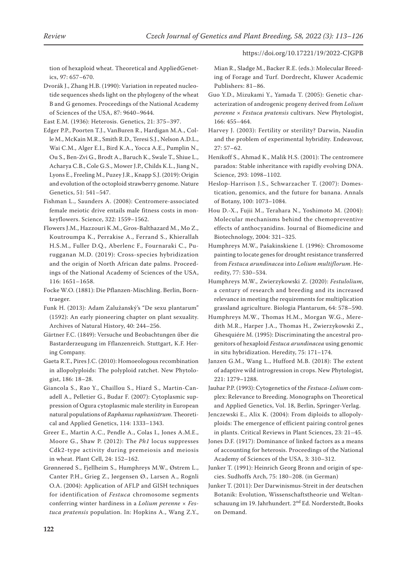tion of hexaploid wheat. Theoretical and AppliedGenetics, 97: 657–670.

Dvorák J., Zhang H.B. (1990): Variation in repeated nucleotide sequences sheds light on the phylogeny of the wheat B and G genomes. Proceedings of the National Academy of Sciences of the USA, 87: 9640–9644.

East E.M. (1936): Heterosis. Genetics, 21: 375–397.

- Edger P.P., Poorten T.J., VanBuren R., Hardigan M.A., Colle M., McKain M.R., Smith R.D., Teresi S.J., Nelson A.D.L., Wai C.M., Alger E.I., Bird K.A., Yocca A.E., Pumplin N., Ou S., Ben-Zvi G., Brodt A., Baruch K., Swale T., Shiue L., Acharya C.B., Cole G.S., Mower J.P., Childs K.L., Jiang N., Lyons E., Freeling M., Puzey J.R., Knapp S.J. (2019): Origin and evolution of the octoploid strawberry genome. Nature Genetics, 51: 541–547.
- Fishman L., Saunders A. (2008): Centromere-associated female meiotic drive entails male fitness costs in monkeyflowers. Science, 322: 1559–1562.
- Flowers J.M., Hazzouri K.M., Gros-Balthazard M., Mo Z., Koutroumpa K., Perrakise A., Ferrand S., Khierallah H.S.M., Fuller D.Q., Aberlenc F., Fournaraki C., Purugganan M.D. (2019): Cross-species hybridization and the origin of North African date palms. Proceedings of the National Academy of Sciences of the USA, 116: 1651–1658.
- Focke W.O. (1881): Die Pflanzen-Mischling. Berlin, Borntraeger.

Funk H. (2013): Adam Zalužanský's "De sexu plantarum" (1592): An early pioneering chapter on plant sexuality. Archives of Natural History, 40: 244–256.

Gärtner F.C. (1849): Versuche und Beobachtungen űber die Bastarderzeugung im Fflanzenreich. Stuttgart, K.F. Hering Company.

Gaeta R.T., Pires J.C. (2010): Homoeologous recombination in allopolyploids: The polyploid ratchet. New Phytologist, 186: 18–28.

Giancola S., Rao Y., Chaillou S., Hiard S., Martin-Canadell A., Pelletier G., Budar F. (2007): Cytoplasmic suppression of Ogura cytoplasmic male sterility in European natural populations of *Raphanus raphanistrum*. Theoretical and Applied Genetics, 114: 1333–1343.

Greer E., Martin A.C., Pendle A., Colas I., Jones A.M.E., Moore G., Shaw P. (2012): The *Ph1* locus suppresses Cdk2-type activity during premeiosis and meiosis in wheat. Plant Cell, 24: 152–162.

Grønnerød S., Fjellheim S., Humphreys M.W., Østrem L., Canter P.H., Grieg Z., Jørgensen Ø., Larsen A., Rognli O.A. (2004): Application of AFLP and GISH techniques for identification of *Festuca* chromosome segments conferring winter hardiness in a *Lolium perenne × Festuca pratensis* population. In: Hopkins A., Wang Z.Y.,

Mian R., Sladge M., Backer R.E. (eds.): Molecular Breeding of Forage and Turf. Dordrecht, Kluwer Academic Publishers: 81–86.

- Guo Y.D., Mizukami Y., Yamada T. (2005): Genetic characterization of androgenic progeny derived from *Lolium perenne × Festuca pratensis* cultivars. New Phytologist, 166: 455–464.
- Harvey J. (2003): Fertility or sterility? Darwin, Naudin and the problem of experimental hybridity. Endeavour,  $27.57-62$
- Henikoff S., Ahmad K., Malik H.S. (2001): The centromere paradox: Stable inheritance with rapidly evolving DNA. Science, 293: 1098–1102.

Heslop-Harrison J.S., Schwarzacher T. (2007): Domestication, genomics, and the future for banana. Annals of Botany, 100: 1073–1084.

- Hou D.-X., Fujii M., Terahara N., Yoshimoto M. (2004): Molecular mechanisms behind the chemopreventive effects of anthocyanidins. Journal of Biomedicine and Biotechnology, 2004: 321–325.
- Humphreys M.W., Pašakinskiene I. (1996): Chromosome painting to locate genes for drought resistance transferred from *Festuca arundinacea* into *Lolium multiflorum*. Heredity, 77: 530–534.

Humphreys M.W., Zwierzykowski Z. (2020): *Festulolium*, a century of research and breeding and its increased relevance in meeting the requirements for multiplication grassland agriculture. Biologia Plantarum, 64: 578–590.

Humphreys M.W., Thomas H.M., Morgan W.G., Meredith M.R., Harper J.A., Thomas H., Zwierzykowski Z., Ghesquiére M. (1995): Discriminating the ancestral progenitors of hexaploid *Festuca arundinacea* using genomic in situ hybridization. Heredity, 75: 171–174.

Janzen G.M., Wang L., Hufford M.B. (2018): The extent of adaptive wild introgression in crops. New Phytologist, 221: 1279–1288.

Jauhar P.P. (1993): Cytogenetics of the *Festuca*-*Lolium* complex: Relevance to Breeding. Monographs on Theoretical and Applied Genetics, Vol. 18, Berlin, Springer-Verlag.

Jenczewski E., Alix K. (2004): From diploids to allopolyploids: The emergence of efficient pairing control genes in plants. Critical Reviews in Plant Sciences, 23: 21–45.

- Jones D.F. (1917): Dominance of linked factors as a means of accounting for heterosis. Proceedings of the National Academy of Sciences of the USA, 3: 310–312.
- Junker T. (1991): Heinrich Georg Bronn and origin of species. Sudhoffs Arch, 75: 180–208. (in German)
- Junker T. (2011): Der Darwinismus-Streit in der deutschen Botanik: Evolution, Wissenschaftstheorie und Weltanschauung im 19. Jahrhundert. 2nd Ed. Norderstedt, Books on Demand.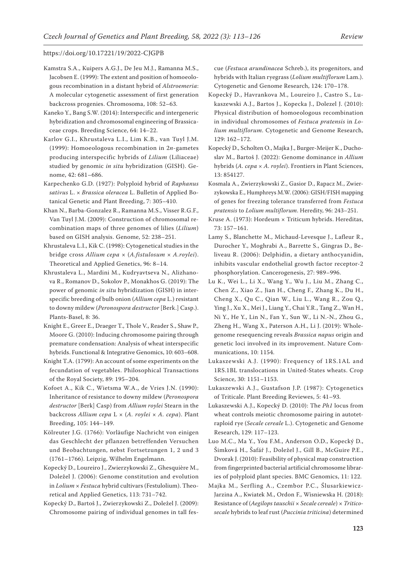- Kamstra S.A., Kuipers A.G.J., De Jeu M.J., Ramanna M.S., Jacobsen E. (1999): The extent and position of homoeologous recombination in a distant hybrid of *Alstroemeria*: A molecular cytogenetic assessment of first generation backcross progenies. Chromosoma, 108: 52–63.
- Kaneko Y., Bang S.W. (2014): Interspecific and intergeneric hybridization and chromosomal engineering of Brassicaceae crops. Breeding Science, 64: 14–22.
- Karlov G.I., Khrustaleva L.I., Lim K.B., van Tuyl J.M. (1999): Homoeologous recombination in 2*n*-gametes producing interspecific hybrids of *Lilium* (Liliaceae) studied by genomic *in situ* hybridization (GISH). Genome, 42: 681–686.
- Karpechenko G.D. (1927): Polyploid hybrid of *Raphanus sativus* L. × *Brassica oleracea* L. Bulletin of Applied Botanical Genetic and Plant Breeding, 7: 305–410.
- Khan N., Barba-Gonzalez R., Ramanna M.S., Visser R.G.F., Van Tuyl J.M. (2009): Construction of chromosomal recombination maps of three genomes of lilies (*Lilium*) based on GISH analysis. Genome, 52: 238–251.
- Khrustaleva L.I., Kik C. (1998): Cytogenetical studies in the bridge cross *Allium cepa* × (*A.fistulosum* × *A.roylei*). Theoretical and Applied Genetics, 96: 8–14.
- Khrustaleva L., Mardini M., Kudryavtseva N., Alizhanova R., Romanov D., Sokolov P., Monakhos G. (2019): The power of genomic *in situ* hybridization (GISH) in interspecific breeding of bulb onion (*Allium cepa* L.) resistant to downy mildew (*Peronospora destructor* [Berk.] Casp.). Plants-Basel, 8: 36.
- Knight E., Greer E., Draeger T., Thole V., Reader S., Shaw P., Moore G. (2010): Inducing chromosome pairing through premature condensation: Analysis of wheat interspecific hybrids. Functional & Integrative Genomics, 10: 603–608.
- Knight T.A. (1799): An account of some experiments on the fecundation of vegetables. Philosophical Transactions of the Royal Society, 89: 195–204.
- Kofoet A., Kik C., Wietsma W.A., de Vries J.N. (1990): Inheritance of resistance to downy mildew (*Peronospora destructor* [Berk] Casp) from *Allium roylei* Stearn in the backcross *Allium cepa* L × (*A. roylei* × *A. cepa*). Plant Breeding, 105: 144–149.
- Kölreuter J.G. (1766): Vorläufige Nachricht von einigen das Geschlecht der pflanzen betreffenden Versuchen und Beobachtungen, nebst Fortsetzungen 1, 2 und 3 (1761–1766). Leipzig, Wilhelm Engelmann.
- Kopecký D., Loureiro J., Zwierzykowski Z., Ghesquière M., Doležel J. (2006): Genome constitution and evolution in *Lolium* × *Festuca* hybrid cultivars (Festulolium). Theoretical and Applied Genetics, 113: 731–742.
- Kopecký D., Bartoš J., Zwierzykowski Z., Doležel J. (2009): Chromosome pairing of individual genomes in tall fes-

cue (*Festuca arundinacea* Schreb.), its progenitors, and hybrids with Italian ryegrass (*Lolium multiflorum* Lam.). Cytogenetic and Genome Research, 124: 170–178.

- Kopecký D., Havrankova M., Loureiro J., Castro S., Lukaszewski A.J., Bartos J., Kopecka J., Dolezel J. (2010): Physical distribution of homoeologous recombination in individual chromosomes of *Festuca pratensis* in *Lolium multiflorum*. Cytogenetic and Genome Research, 129: 162–172.
- Kopecký D., Scholten O., Majka J., Burger-Meijer K., Duchoslav M., Bartoš J. (2022): Genome dominance in *Allium* hybrids (*A. cepa × A. roylei*). Frontiers in Plant Sciences, 13: 854127.
- Kosmala A., Zwierzykowski Z., Gasior D., Rapacz M., Zwierzykowska E., Humphreys M.W. (2006): GISH/FISH mapping of genes for freezing tolerance transferred from *Festuca pratensis* to *Lolium multiflorum*. Heredity, 96: 243–251.
- Kruse A. (1973): Hordeum × Triticum hybrids. Hereditas, 73: 157–161.
- Lamy S., Blanchette M., Michaud-Levesque J., Lafleur R., Durocher Y., Moghrabi A., Barrette S., Gingras D., Beliveau R. (2006): Delphidin, a dietary anthocyanidin, inhibits vascular endothelial growth factor receptor-2 phosphorylation. Cancerogenesis, 27: 989–996.
- Lu K., Wei L., Li X., Wang Y., Wu J., Liu M., Zhang C., Chen Z., Xiao Z., Jian H., Cheng F., Zhang K., Du H., Cheng X., Qu C., Qian W., Liu L., Wang R., Zou Q., Ying J., Xu X., Mei J., Liang Y., Chai Y.R., Tang Z., Wan H., Ni Y., He Y., Lin N., Fan Y., Sun W., Li N.-N., Zhou G., Zheng H., Wang X., Paterson A.H., Li J. (2019): Wholegenome resequencing reveals *Brassica napus* origin and genetic loci involved in its improvement. Nature Communications, 10: 1154.
- Lukaszewski A.J. (1990): Frequency of 1RS.1AL and 1RS.1BL translocations in United-States wheats. Crop Science, 30: 1151–1153.
- Lukaszewski A.J., Gustafson J.P. (1987): Cytogenetics of Triticale. Plant Breeding Reviewes, 5: 41–93.
- Lukaszewski A.J., Kopecký D. (2010): The *Ph1* locus from wheat controls meiotic chromosome pairing in autotetraploid rye (*Secale cereale* L.). Cytogenetic and Genome Research, 129: 117–123.
- Luo M.C., Ma Y., You F.M., Anderson O.D., Kopecký D., Šimková H., Šafář J., Doležel J., Gill B., McGuire P.E., Dvorak J. (2010): Feasibility of physical map construction from fingerprinted bacterial artificial chromosome libraries of polyploid plant species. BMC Genomics, 11: 122.
- Majka M., Serfling A., Czembor P.C., Ślusarkiewicz-Jarzina A., Kwiatek M., Ordon F., Wisniewska H. (2018): Resistance of (*Aegilops tauschii* × *Secale cereale*) × *Triticosecale* hybrids to leaf rust (*Puccinia triticina*) determined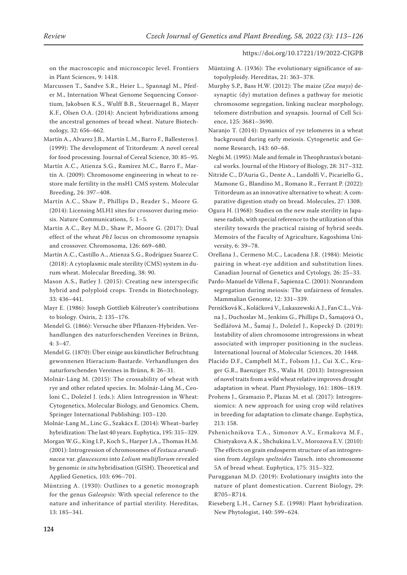on the macroscopic and microscopic level. Frontiers in Plant Sciences, 9: 1418.

Marcussen T., Sandve S.R., Heier L., Spannagl M., Pfeifer M., Internation Wheat Genome Sequencing Consortium, Jakobsen K.S., Wulff B.B., Steuernagel B., Mayer K.F., Olsen O.A. (2014): Ancient hybridizations among the ancestral genomes of bread wheat. Nature Biotechnology, 32: 656–662.

Martín A., Alvarez J.B., Martín L.M., Barro F., Ballesteros J. (1999): The development of Tritordeum: A novel cereal for food processing. Journal of Cereal Science, 30: 85–95.

Martín A.C., Atienza S.G., Ramírez M.C., Barro F., Martín A. (2009): Chromosome engineering in wheat to restore male fertility in the msH1 CMS system. Molecular Breeding, 24: 397–408.

Martín A.C., Shaw P., Phillips D., Reader S., Moore G. (2014): Licensing MLH1 sites for crossover during meiosis. Nature Communications, 5: 1–5.

Martín A.C., Rey M.D., Shaw P., Moore G. (2017): Dual effect of the wheat *Ph1* locus on chromosome synapsis and crossover. Chromosoma, 126: 669–680.

Martín A.C., Castillo A., Atienza S.G., Rodríguez Suarez C. (2018): A cytoplasmic male sterility (CMS) system in durum wheat. Molecular Breeding, 38: 90.

Mason A.S., Batley J. (2015): Creating new interspecific hybrid and polyploid crops. Trends in Biotechnology, 33: 436–441.

Mayr E. (1986): Joseph Gottlieb Kölreuter's contributions to biology. Osiris, 2: 135–176.

Mendel G. (1866): Versuche über Pflanzen-Hybriden. Verhandlungen des naturforschenden Vereines in Brünn, 4: 3–47.

Mendel G. (1870): Über einige aus künstlicher Befruchtung gewonnenen Hieracium-Bastarde. Verhandlungen des naturforschenden Vereines in Brünn, 8: 26–31.

Molnár-Láng M. (2015): The crossability of wheat with rye and other related species. In: Molnár-Láng M., Ceoloni C., Doležel J. (eds.): Alien Introgression in Wheat: Cytogenetics, Molecular Biology, and Genomics. Chem, Springer International Publishing: 103–120.

Molnár-Lang M., Linc G., Szakács E. (2014): Wheat–barley hybridization: The last 40 years. Euphytica, 195: 315–329.

Morgan W.G., King I.P., Koch S., Harper J.A., Thomas H.M. (2001): Introgression of chromosomes of *Festuca arundinacea* var. *glaucescens* into *Lolium multiflorum* revealed by genomic *in situ* hybridisation (GISH). Theoretical and Applied Genetics, 103: 696–701.

Müntzing A. (1930): Outlines to a genetic monograph for the genus *Galeopsis*: With special reference to the nature and inheritance of partial sterility. Hereditas, 13: 185–341.

Müntzing A. (1936): The evolutionary significance of autopolyploidy. Hereditas, 21: 363–378.

Murphy S.P., Bass H.W. (2012): The maize (*Zea mays*) desynaptic (dy) mutation defines a pathway for meiotic chromosome segregation, linking nuclear morphology, telomere distribution and synapsis. Journal of Cell Science, 125: 3681–3690.

Naranjo T. (2014): Dynamics of rye telomeres in a wheat background during early meiosis. Cytogenetic and Genome Research, 143: 60–68.

Negbi M. (1995): Male and female in Theophrastus's botanical works. Journal of the History of Biology, 28: 317–332.

Nitride C., D'Auria G., Dente A., Landolfi V., Picariello G., Mamone G., Blandino M., Romano R., Ferrant P. (2022): Tritordeum as an innovative alternative to wheat: A comparative digestion study on bread. Molecules, 27: 1308.

Ogura H. (1968): Studies on the new male sterility in Japanese radish, with special reference to the utilization of this sterility towards the practical raising of hybrid seeds. Memoirs of the Faculty of Agriculture, Kagoshima University, 6: 39–78.

Orellana J., Cermeno M.C., Lacadena J.R. (1984): Meiotic pairing in wheat-rye addition and substitution lines. Canadian Journal of Genetics and Cytology, 26: 25–33.

Pardo-Manuel de Villena F., Sapienza C. (2001): Nonrandom segregation during meiosis: The unfairness of females. Mammalian Genome, 12: 331–339.

Perníčková K., Koláčková V., Lukaszewski A.J., Fan C.L., Vrána J., Duchoslav M., Jenkins G., Phillips D., Šamajová O., Sedlářová M., Šamaj J., Doležel J., Kopecký D. (2019): Instability of alien chromosome introgressions in wheat associated with improper positioning in the nucleus. International Journal of Molecular Sciences, 20: 1448.

Placido D.F., Campbell M.T., Folsom J.J., Cui X.C., Kruger G.R., Baenziger P.S., Walia H. (2013): Introgression of novel traits from a wild wheat relative improves drought adaptation in wheat. Plant Physiology, 161: 1806–1819.

Prohens J., Gramazio P., Plazas M. et al. (2017): Introgressiomics: A new approach for using crop wild relatives in breeding for adaptation to climate change. Euphytica, 213: 158.

Pshenichnikova T.A., Simonov A.V., Ermakova M.F., Chistyakova A.K., Shchukina L.V., Morozova E.V. (2010): The effects on grain endosperm structure of an introgression from *Aegilops speltoides* Tausch. into chromosome 5A of bread wheat. Euphytica, 175: 315–322.

Purugganan M.D. (2019): Evolutionary insights into the nature of plant domestication. Current Biology, 29: R705–R714.

Rieseberg L.H., Carney S.E. (1998): Plant hybridization. New Phytologist, 140: 599–624.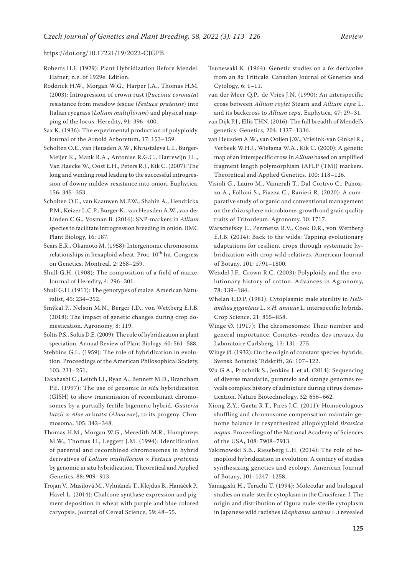- Roberts H.F. (1929): Plant Hybridization Before Mendel. Hafner; n.e. of 1929e. Edition.
- Roderick H.W., Morgan W.G., Harper J.A., Thomas H.M. (2003): Introgression of crown rust (P*uccinia coronata*) resistance from meadow fescue (*Festuca pratensis*) into Italian ryegrass (*Lolium multiflorum*) and physical mapping of the locus. Heredity, 91: 396–400.
- Sax K. (1936): The experimental production of polyploidy. Journal of the Arnold Arboretum, 17: 153–159.
- Scholten O.E., van Heusden A.W., Khrustaleva L.I., Burger-Meijer K., Mank R.A., Antonise R.G.C., Harrewijn J.L., Van Haecke W., Oost E.H., Peters R.J., Kik C. (2007): The long and winding road leading to the successful introgression of downy mildew resistance into onion. Euphytica, 156: 345–353.
- Scholten O.E., van Kaauwen M.P.W., Shahin A., Hendrickx P.M., Keizer L.C.P., Burger K., van Heusden A.W., van der Linden C.G., Vosman B. (2016): SNP-markers in *Allium* species to facilitate introgression breeding in onion. BMC Plant Biology, 16: 187.
- Sears E.R., Okamoto M. (1958): Intergenomic chromosome relationships in hexaploid wheat. Proc.  $10^{th}$  Int. Congress on Genetics, Montreal, 2: 258–259.
- Shull G.H. (1908): The composition of a field of maize. Journal of Heredity, 4: 296–301.
- Shull G.H. (1911): The genotypes of maize. American Naturalist, 45: 234–252.
- Smýkal P., Nelson M.N., Berger J.D., von Wettberg E.J.B. (2018): The impact of genetic changes during crop domestication. Agronomy, 8: 119.
- Soltis P.S., Soltis D.E. (2009): The role of hybridization in plant speciation. Annual Review of Plant Biology, 60: 561–588.
- Stebbins G.L. (1959): The role of hybridization in evolution. Proceedings of the American Philosophical Society, 103: 231–251.
- Takahashi C., Leitch I.J., Ryan A., Bennett M.D., Brandham P.E. (1997): The use of genomic *in situ* hybridization (GISH) to show transmission of recombinant chromosomes by a partially fertile bigeneric hybrid, *Gasteria lutzii* × *Aloe aristata* (*Aloaceae*), to its progeny. Chromosoma, 105: 342–348.
- Thomas H.M., Morgan W.G., Meredith M.R., Humphreys M.W., Thomas H., Leggett J.M. (1994): Identification of parental and recombined chromosomes in hybrid derivatives of *Lolium multiflorum × Festuca pratensis* by genomic in situ hybridization. Theoretical and Applied Genetics, 88: 909–913.
- Trojan V., Musilová M., Vyhnánek T., Klejdus B., Hanáček P., Havel L. (2014): Chalcone synthase expression and pigment deposition in wheat with purple and blue colored caryopsis. Journal of Cereal Science, 59: 48–55.
- Tsunewaki K. (1964): Genetic studies on a 6x derivative from an 8x Triticale. Canadian Journal of Genetics and Cytology, 6: 1–11.
- van der Meer Q.P., de Vries J.N. (1990): An interspecific cross between *Allium roylei* Stearn and *Allium cepa* L. and its backcross to *Allium cepa*. Euphytica, 47: 29–31.
- van Dijk P.J., Ellis THN. (2016): The full breadth of Mendel's genetics. Genetics, 204: 1327–1336.
- van Heusden A.W., van Ooijen J.W., Vrielink-van Ginkel R., Verbeek W.H.J., Wietsma W.A., Kik C. (2000): A genetic map of an interspecific cross in *Allium* based on amplified fragment length polymorphism (AFLP (TM)) markers. Theoretical and Applied Genetics, 100: 118–126.
- Visioli G., Lauro M., Vamerali T., Dal Cortivo C., Panozzo A., Folloni S., Piazza C., Ranieri R. (2020): A comparative study of organic and conventional management on the rhizosphere microbiome, growth and grain quality traits of Tritordeum. Agronomy, 10: 1717.
- Warschefsky E., Penmetsa R.V., Cook D.R., von Wettberg E.J.B. (2014): Back to the wilds: Tapping evolutionary adaptations for resilient crops through systematic hybridization with crop wild relatives. American Journal of Botany, 101: 1791–1800.
- Wendel J.F., Crown R.C. (2003): Polyploidy and the evolutionary history of cotton. Advances in Agronomy, 78: 139–184.
- Whelan E.D.P. (1981): Cytoplasmic male sterility in *Helianthus giganteus* L. × *H. annuus* L. interspecific hybrids. Crop Science, 21: 855–858.
- Winge Ø. (1917): The chromosomes: Their number and general importance. Comptes-rendus des travaux du Laboratoire Carlsberg, 13: 131–275.
- Winge Ø. (1932): On the origin of constant species-hybrids. Svensk Botanisk Tidskrift, 26: 107–122.
- Wu G.A., Prochnik S., Jenkins J. et al. (2014): Sequencing of diverse mandarin, pummelo and orange genomes reveals complex history of admixture during citrus domestication. Nature Biotechnology, 32: 656–662.
- Xiong Z.Y., Gaeta R.T., Pires J.C. (2011): Homoeologous shuffling and chromosome compensation maintain genome balance in resynthesized allopolyploid *Brassica napus*. Proceedings of the National Academy of Sciences of the USA, 108: 7908–7913.
- Yakimowski S.B., Rieseberg L.H. (2014): The role of homoploid hybridization in evolution: A century of studies synthesizing genetics and ecology. American Journal of Botany, 101: 1247–1258.
- Yamagishi H., Terachi T. (1994): Molecular and biological studies on male-sterile cytoplasm in the Cruciferae. I. The origin and distribution of Ogura male-sterile cytoplasm in Japanese wild radishes (*Raphanus sativus* L.) revealed